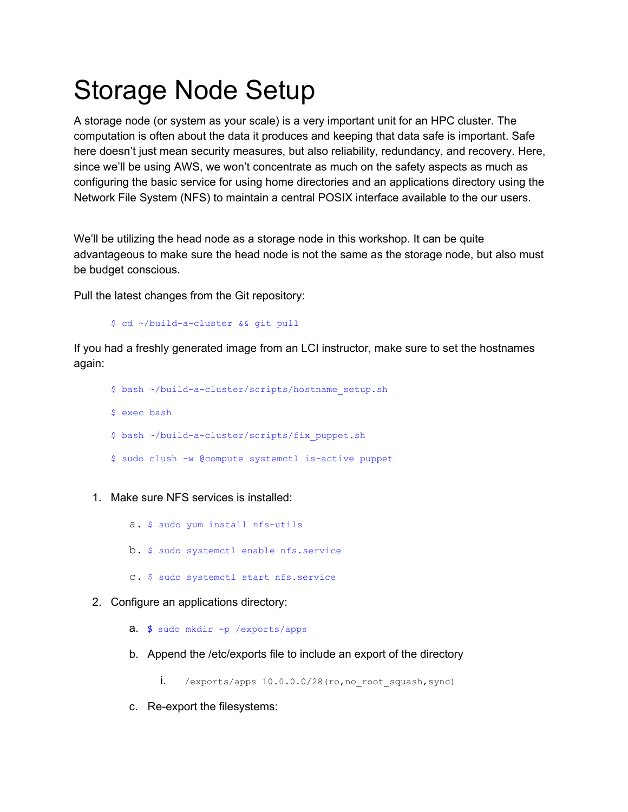## Storage Node Setup

A storage node (or system as your scale) is a very important unit for an HPC cluster. The computation is often about the data it produces and keeping that data safe is important. Safe here doesn't just mean security measures, but also reliability, redundancy, and recovery. Here, since we'll be using AWS, we won't concentrate as much on the safety aspects as much as configuring the basic service for using home directories and an applications directory using the Network File System (NFS) to maintain a central POSIX interface available to the our users.

We'll be utilizing the head node as a storage node in this workshop. It can be quite advantageous to make sure the head node is not the same as the storage node, but also must be budget conscious.

Pull the latest changes from the Git repository:

```
$ cd ~/build-a-cluster && git pull
```
If you had a freshly generated image from an LCI instructor, make sure to set the hostnames again:

- \$ bash ~/build-a-cluster/scripts/hostname\_setup.sh \$ exec bash \$ bash ~/build-a-cluster/scripts/fix\_puppet.sh \$ sudo clush -w @compute systemctl is-active puppet
- 1. Make sure NFS services is installed:
	- a. \$ sudo yum install nfs-utils
	- b. \$ sudo systemctl enable nfs.service
	- c. \$ sudo systemctl start nfs.service
- 2. Configure an applications directory:
	- a. \$ sudo mkdir -p /exports/apps
	- b. Append the /etc/exports file to include an export of the directory
		- i. /exports/apps 10.0.0.0/28(ro,no\_root\_squash,sync)
	- c. Re-export the filesystems: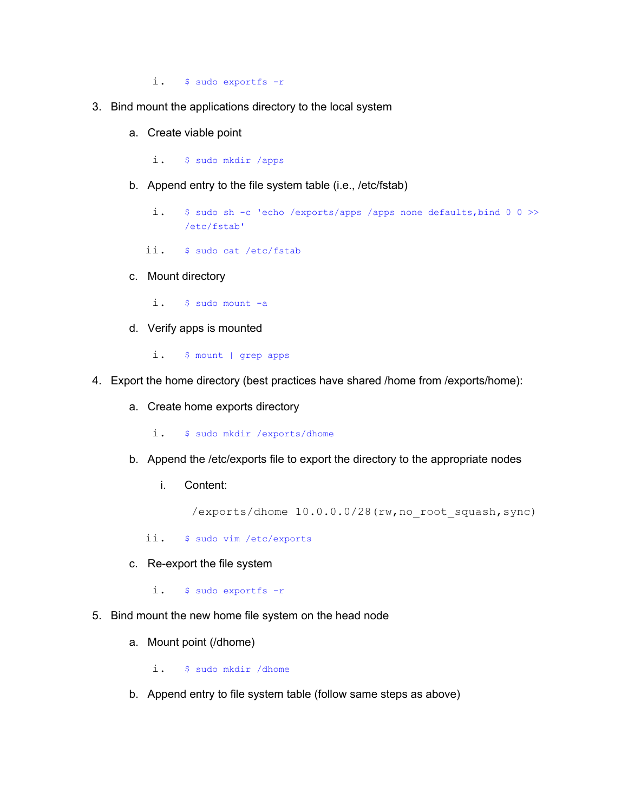i. \$ sudo exportfs -r

- 3. Bind mount the applications directory to the local system
	- a. Create viable point
		- i. \$ sudo mkdir /apps
	- b. Append entry to the file system table (i.e., /etc/fstab)
		- i. \$ sudo sh -c 'echo /exports/apps /apps none defaults,bind 0 0 >> /etc/fstab'
		- ii. \$ sudo cat /etc/fstab
	- c. Mount directory
		- i. \$ sudo mount -a
	- d. Verify apps is mounted
		- i. \$ mount | grep apps
- 4. Export the home directory (best practices have shared /home from /exports/home):
	- a. Create home exports directory

i. \$ sudo mkdir /exports/dhome

- b. Append the /etc/exports file to export the directory to the appropriate nodes
	- i. Content:

/exports/dhome 10.0.0.0/28(rw, no root squash, sync)

- ii. \$ sudo vim /etc/exports
- c. Re-export the file system
	- i. \$ sudo exportfs -r
- 5. Bind mount the new home file system on the head node
	- a. Mount point (/dhome)
		- i. \$ sudo mkdir /dhome
	- b. Append entry to file system table (follow same steps as above)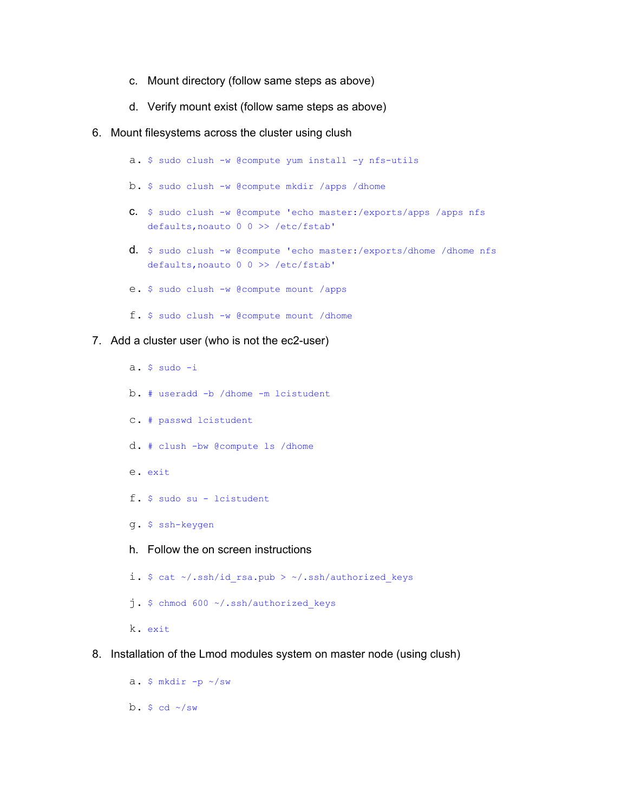- c. Mount directory (follow same steps as above)
- d. Verify mount exist (follow same steps as above)
- 6. Mount filesystems across the cluster using clush
	- a. \$ sudo clush -w @compute yum install -y nfs-utils
	- b. \$ sudo clush -w @compute mkdir /apps /dhome
	- c. \$ sudo clush -w @compute 'echo master:/exports/apps /apps nfs defaults,noauto 0 0 >> /etc/fstab'
	- d. \$ sudo clush -w @compute 'echo master:/exports/dhome /dhome nfs defaults,noauto 0 0 >> /etc/fstab'
	- e. \$ sudo clush -w @compute mount /apps
	- f. \$ sudo clush -w @compute mount /dhome

## 7. Add a cluster user (who is not the ec2-user)

a. \$ sudo -i b. # useradd -b /dhome -m lcistudent c. # passwd lcistudent d. # clush -bw @compute ls /dhome e. exit f. \$ sudo su - lcistudent g. \$ ssh-keygen h. Follow the on screen instructions i. \$ cat  $\sim$ /.ssh/id rsa.pub >  $\sim$ /.ssh/authorized keys j. \$ chmod 600 ~/.ssh/authorized\_keys k. exit

- 8. Installation of the Lmod modules system on master node (using clush)
	- a.  $$$  mkdir -p  $\sim$ /sw
	- b.  $\circ$  cd  $\sim$ /sw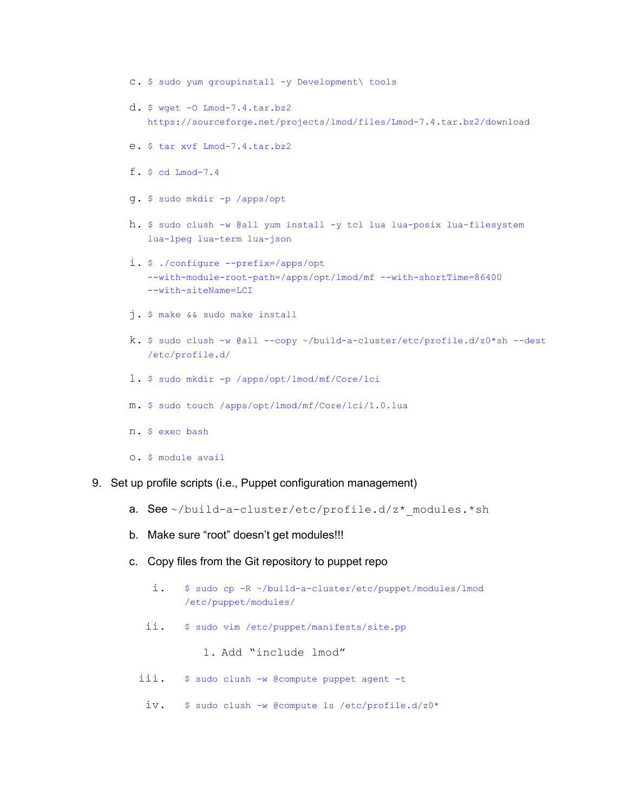- c. \$ sudo yum groupinstall -y Development\ tools
- d. \$ wget -O Lmod-7.4.tar.bz2 <https://sourceforge.net/projects/lmod/files/Lmod-7.4.tar.bz2/download>
- e. \$ tar xvf Lmod-7.4.tar.bz2
- f. \$ cd Lmod-7.4
- g. \$ sudo mkdir -p /apps/opt
- h. \$ sudo clush -w @all yum install -y tcl lua lua-posix lua-filesystem lua-lpeg lua-term lua-json
- i. \$ ./configure --prefix=/apps/opt --with-module-root-path=/apps/opt/lmod/mf --with-shortTime=86400 --with-siteName=LCI
- j. \$ make && sudo make install
- k. \$ sudo clush -w @all --copy ~/build-a-cluster/etc/profile.d/z0\*sh --dest /etc/profile.d/
- l. \$ sudo mkdir -p /apps/opt/lmod/mf/Core/lci
- m. \$ sudo touch /apps/opt/lmod/mf/Core/lci/1.0.lua
- n. \$ exec bash
- o. \$ module avail
- 9. Set up profile scripts (i.e., Puppet configuration management)
	- a. See ~/build-a-cluster/etc/profile.d/z\* modules.\*sh
	- b. Make sure "root" doesn't get modules!!!
	- c. Copy files from the Git repository to puppet repo
		- i. \$ sudo cp -R ~/build-a-cluster/etc/puppet/modules/lmod /etc/puppet/modules/
		- ii. \$ sudo vim /etc/puppet/manifests/site.pp
			- 1. Add "include lmod"
		- iii. \$ sudo clush -w @compute puppet agent -t
			- iv. \$ sudo clush -w @compute ls /etc/profile.d/z0\*